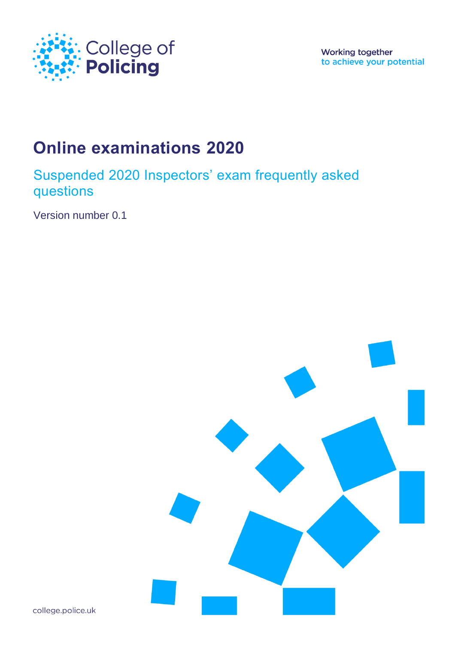

Working together to achieve your potential

# **Online examinations 2020**

Suspended 2020 Inspectors' exam frequently asked questions

Version number 0.1



college.police.uk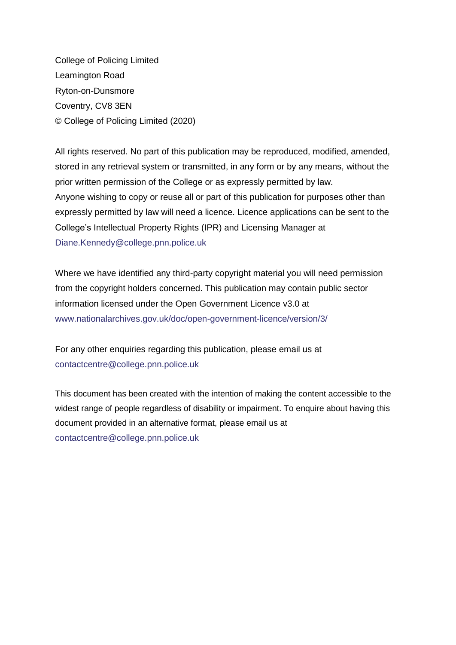College of Policing Limited Leamington Road Ryton-on-Dunsmore Coventry, CV8 3EN © College of Policing Limited (2020)

All rights reserved. No part of this publication may be reproduced, modified, amended, stored in any retrieval system or transmitted, in any form or by any means, without the prior written permission of the College or as expressly permitted by law. Anyone wishing to copy or reuse all or part of this publication for purposes other than expressly permitted by law will need a licence. Licence applications can be sent to the College's Intellectual Property Rights (IPR) and Licensing Manager at [Diane.Kennedy@college.pnn.police.uk](file:///C:/Users/slimmonh/AppData/Local/Microsoft/Windows/INetCache/Content.Outlook/MCQAAZ6R/Diane.Kennedy@College.pnn.police.uk)

Where we have identified any third-party copyright material you will need permission from the copyright holders concerned. This publication may contain public sector information licensed under the Open Government Licence v3.0 at [www.nationalarchives.gov.uk/doc/open-government-licence/version/3/](file:///C:/Users/slimmonh/AppData/Local/Microsoft/Windows/INetCache/Content.Outlook/MCQAAZ6R/www.nationalarchives.gov.uk/doc/open-government-licence/version/3/)

For any other enquiries regarding this publication, please email us at [contactcentre@college.pnn.police.uk](file:///C:/Users/slimmonh/AppData/Local/Microsoft/Windows/INetCache/Content.Outlook/MCQAAZ6R/contactcentre@college.pnn.police.uk)

This document has been created with the intention of making the content accessible to the widest range of people regardless of disability or impairment. To enquire about having this document provided in an alternative format, please email us at [contactcentre@college.pnn.police.uk](file:///C:/Users/slimmonh/AppData/Local/Microsoft/Windows/INetCache/Content.Outlook/MCQAAZ6R/contactcentre@college.pnn.police.uk)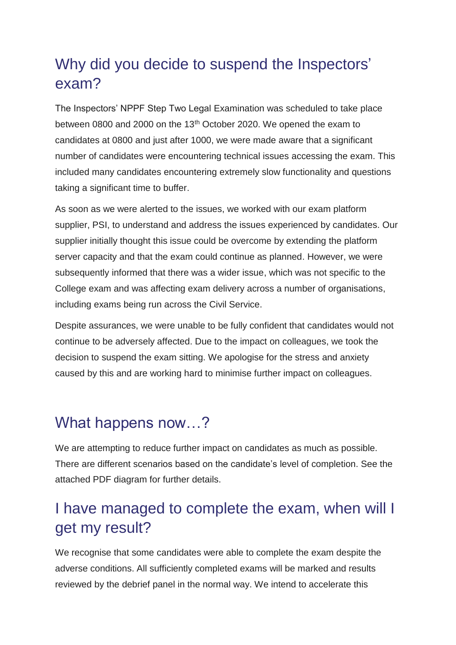# Why did you decide to suspend the Inspectors' exam?

The Inspectors' NPPF Step Two Legal Examination was scheduled to take place between 0800 and 2000 on the 13<sup>th</sup> October 2020. We opened the exam to candidates at 0800 and just after 1000, we were made aware that a significant number of candidates were encountering technical issues accessing the exam. This included many candidates encountering extremely slow functionality and questions taking a significant time to buffer.

As soon as we were alerted to the issues, we worked with our exam platform supplier, PSI, to understand and address the issues experienced by candidates. Our supplier initially thought this issue could be overcome by extending the platform server capacity and that the exam could continue as planned. However, we were subsequently informed that there was a wider issue, which was not specific to the College exam and was affecting exam delivery across a number of organisations, including exams being run across the Civil Service.

Despite assurances, we were unable to be fully confident that candidates would not continue to be adversely affected. Due to the impact on colleagues, we took the decision to suspend the exam sitting. We apologise for the stress and anxiety caused by this and are working hard to minimise further impact on colleagues.

### What happens now...?

We are attempting to reduce further impact on candidates as much as possible. There are different scenarios based on the candidate's level of completion. See the attached PDF diagram for further details.

# I have managed to complete the exam, when will I get my result?

We recognise that some candidates were able to complete the exam despite the adverse conditions. All sufficiently completed exams will be marked and results reviewed by the debrief panel in the normal way. We intend to accelerate this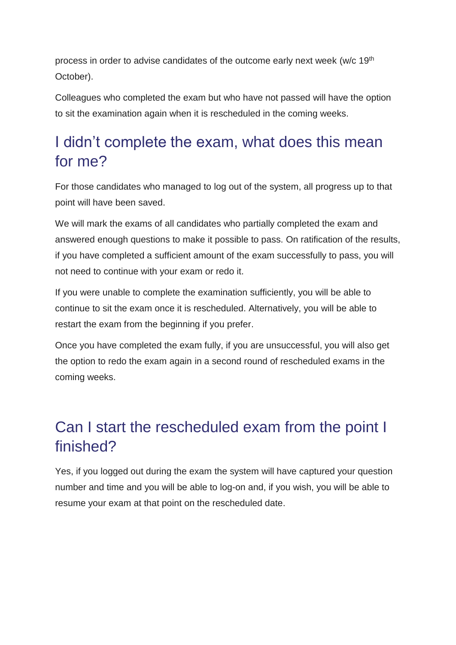process in order to advise candidates of the outcome early next week (w/c 19th October).

Colleagues who completed the exam but who have not passed will have the option to sit the examination again when it is rescheduled in the coming weeks.

# I didn't complete the exam, what does this mean for me?

For those candidates who managed to log out of the system, all progress up to that point will have been saved.

We will mark the exams of all candidates who partially completed the exam and answered enough questions to make it possible to pass. On ratification of the results, if you have completed a sufficient amount of the exam successfully to pass, you will not need to continue with your exam or redo it.

If you were unable to complete the examination sufficiently, you will be able to continue to sit the exam once it is rescheduled. Alternatively, you will be able to restart the exam from the beginning if you prefer.

Once you have completed the exam fully, if you are unsuccessful, you will also get the option to redo the exam again in a second round of rescheduled exams in the coming weeks.

# Can I start the rescheduled exam from the point I finished?

Yes, if you logged out during the exam the system will have captured your question number and time and you will be able to log-on and, if you wish, you will be able to resume your exam at that point on the rescheduled date.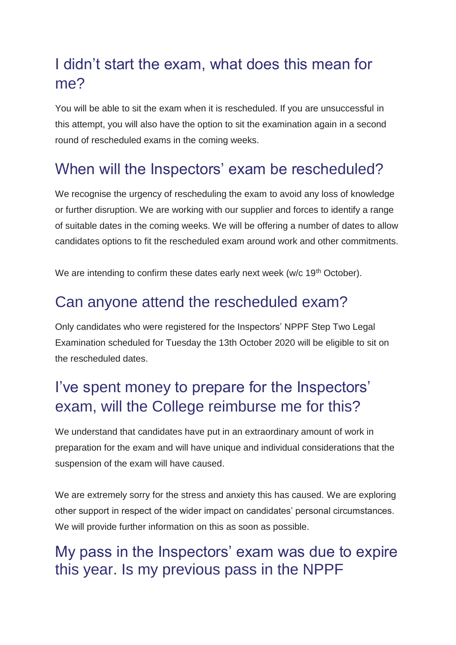# I didn't start the exam, what does this mean for me?

You will be able to sit the exam when it is rescheduled. If you are unsuccessful in this attempt, you will also have the option to sit the examination again in a second round of rescheduled exams in the coming weeks.

# When will the Inspectors' exam be rescheduled?

We recognise the urgency of rescheduling the exam to avoid any loss of knowledge or further disruption. We are working with our supplier and forces to identify a range of suitable dates in the coming weeks. We will be offering a number of dates to allow candidates options to fit the rescheduled exam around work and other commitments.

We are intending to confirm these dates early next week (w/c 19<sup>th</sup> October).

#### Can anyone attend the rescheduled exam?

Only candidates who were registered for the Inspectors' NPPF Step Two Legal Examination scheduled for Tuesday the 13th October 2020 will be eligible to sit on the rescheduled dates.

# I've spent money to prepare for the Inspectors' exam, will the College reimburse me for this?

We understand that candidates have put in an extraordinary amount of work in preparation for the exam and will have unique and individual considerations that the suspension of the exam will have caused.

We are extremely sorry for the stress and anxiety this has caused. We are exploring other support in respect of the wider impact on candidates' personal circumstances. We will provide further information on this as soon as possible.

## My pass in the Inspectors' exam was due to expire this year. Is my previous pass in the NPPF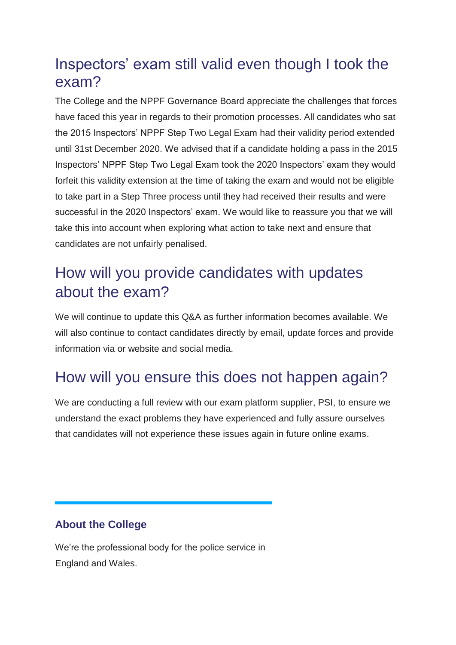### Inspectors' exam still valid even though I took the exam?

The College and the NPPF Governance Board appreciate the challenges that forces have faced this year in regards to their promotion processes. All candidates who sat the 2015 Inspectors' NPPF Step Two Legal Exam had their validity period extended until 31st December 2020. We advised that if a candidate holding a pass in the 2015 Inspectors' NPPF Step Two Legal Exam took the 2020 Inspectors' exam they would forfeit this validity extension at the time of taking the exam and would not be eligible to take part in a Step Three process until they had received their results and were successful in the 2020 Inspectors' exam. We would like to reassure you that we will take this into account when exploring what action to take next and ensure that candidates are not unfairly penalised.

# How will you provide candidates with updates about the exam?

We will continue to update this Q&A as further information becomes available. We will also continue to contact candidates directly by email, update forces and provide information via or website and social media.

# How will you ensure this does not happen again?

We are conducting a full review with our exam platform supplier, PSI, to ensure we understand the exact problems they have experienced and fully assure ourselves that candidates will not experience these issues again in future online exams.

#### **About the College**

We're the professional body for the police service in England and Wales.